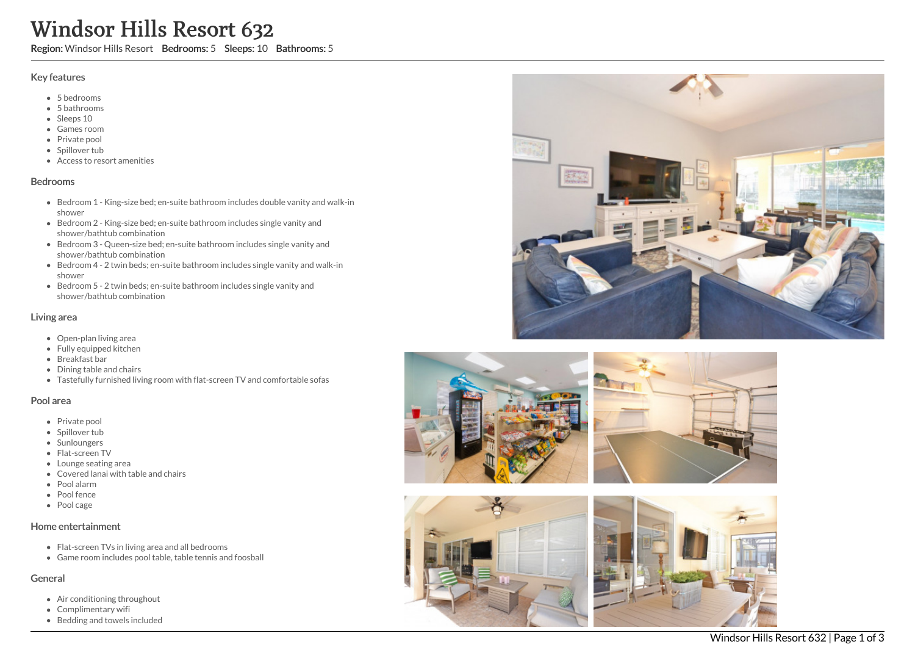# Windsor Hills Resort 632<br>
Region: Windsor Hills Resort Bedrooms: 5 Sleeps: 10<br>
Key features<br>
• Shedrooms<br>
• Shedrooms<br>
• Shedrooms<br>
• Shedrooms<br>
• Shedrooms<br>
• Shedrooms<br>
• Shedroom 1 - King-size bed; en-suite bathroom inc Windsor Hills Resort 632

Region: Windsor Hills Resort Bedrooms: 5 Sleeps: 10 Bathrooms: 5

## Key features

- 5 b e d r o o m s
- 5 b a t h r o o m s
- Sleeps 10
- Games room
- Private pool
- Spillover tub
- Access to resort amenities

### **Bedrooms**

- Bedroom 1 King-size bed; en-suite bathroom includes double vanity and walk-in s h o w e r
- Bedroom 2 King-size bed; en-suite bathroom includes single vanity and shower/bathtub combination
- Bedroom 3 Queen-size bed; en-suite bathroom includes single vanity and shower/bathtub combination
- Bedroom 4 2 twin beds; en-suite bathroom includes single vanity and walk-in s h o w e r
- Bedroom 5 2 twin beds; en-suite bathroom includes single vanity and shower/bathtub combination

### Living area

- Open-plan living area
- Fully equipped kitchen
- Breakfast bar
- Dining table and chairs
- Tastefully furnished living room with flat-screen TV and comfortable sofas

### Pool area

- Private pool
- Spillover tub
- Sunloungers
- Flat-screen T V
- Lounge seating area
- Covered lanai with table and chairs
- P o ol ala r m
- Pool fence
- Pool cage

### Home entertainment

- Flat-screen TVs in living area and all bedrooms
- Game room includes pool table, table tennis and foosball

### General

- Air conditioning throughout
- Complimentary wifi
- 







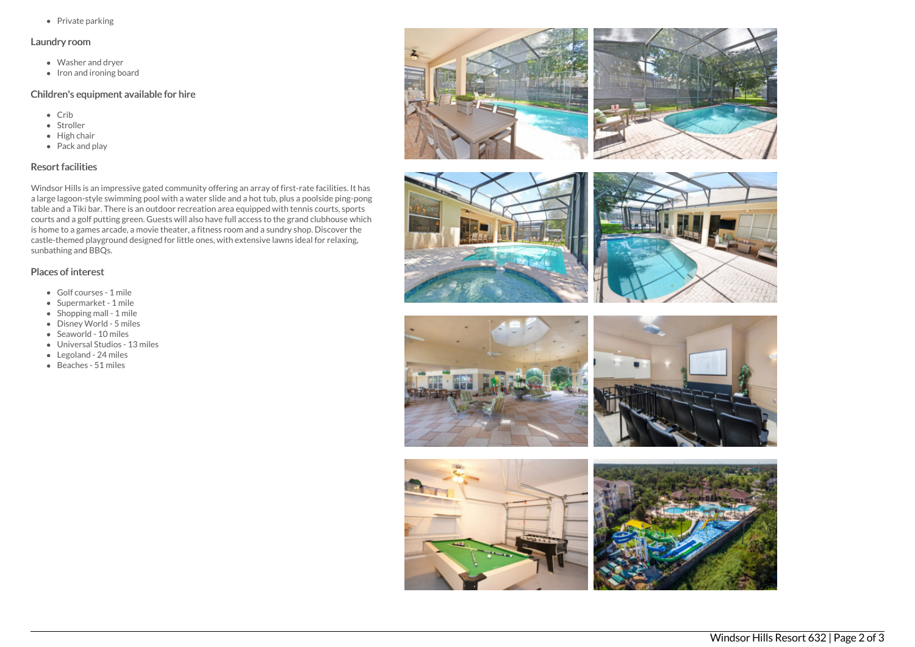• Private parking

### Laundry room

- Washer and dryer
- $\bullet$  Iron and ironing board

# Children's equipment available for hire

- Crib
- Stroller
- $\bullet$  High chair
- Pack and play

# Resort facilities

Windsor Hills is an impressive gated community offering an array of first-rate facilities. It has a large lagoon-style swimming pool with a water slide and a hot tub, plus a poolside ping-pong table and a Tiki bar. There is an outdoor recreation area equipped with tennis courts, sports courts and a golf putting green. Guests will also have full access to the grand clubhouse which is home to a games arcade, a movie theater, a fitness room and a sundry shop. Discover the castle-themed playground designed for little ones, with extensive lawns ideal for relaxing, sunbathing and BBQs.

# Places of interest

- Golf courses 1 mile
- Supermarket 1 mile
- Shopping mall 1 mile
- Disney World 5 miles
- Seaworld 10 miles
- Universal Studios 13 miles
- Legoland 24 miles
- Beaches 51 miles